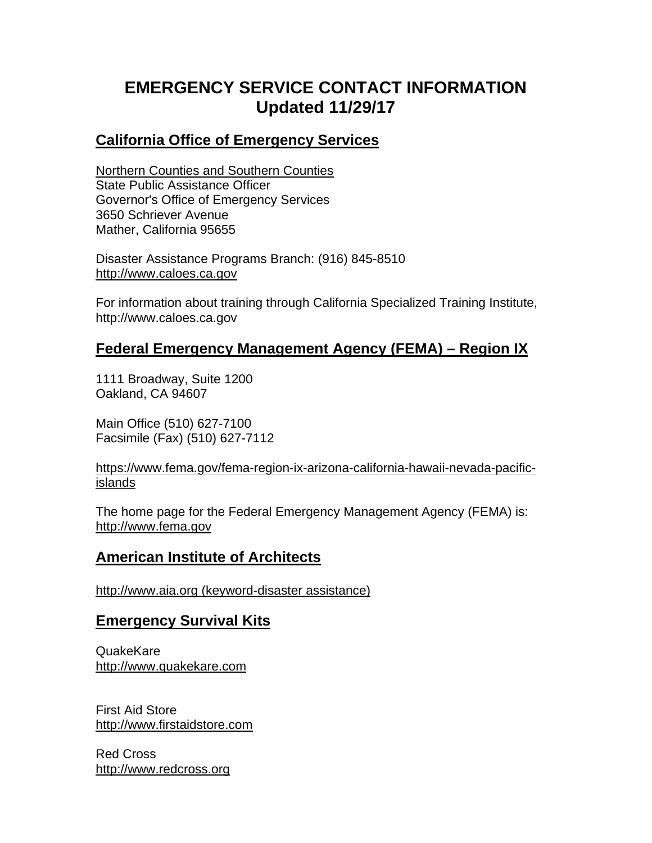# **EMERGENCY SERVICE CONTACT INFORMATION Updated 11/29/17**

#### **California Office of Emergency Services**

Northern Counties and Southern Counties State Public Assistance Officer Governor's Office of Emergency Services 3650 Schriever Avenue Mather, California 95655

Disaster Assistance Programs Branch: (916) 845-8510 http://www.caloes.ca.gov

For information about training through California Specialized Training Institute, http://www.caloes.ca.gov

### **Federal Emergency Management Agency (FEMA) – Region IX**

1111 Broadway, Suite 1200 Oakland, CA 94607

Main Office (510) 627-7100 Facsimile (Fax) (510) 627-7112

#### https://www.fema.gov/fema-region-ix-arizona-california-hawaii-nevada-pacificislands

The home page for the Federal Emergency Management Agency (FEMA) is: http://www.fema.gov

# **American Institute of Architects**

http://www.aia.org (keyword-disaster assistance)

#### **Emergency Survival Kits**

QuakeKare http://www.quakekare.com

First Aid Store http://www.firstaidstore.com

Red Cross http://www.redcross.org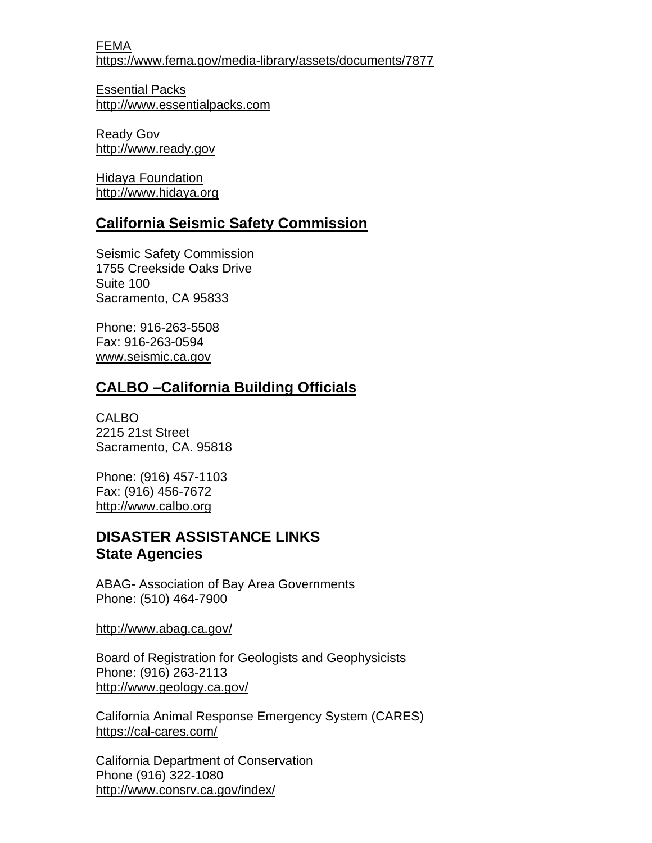FEMA https://www.fema.gov/media-library/assets/documents/7877

Essential Packs http://www.essentialpacks.com

Ready Gov http://www.ready.gov

Hidaya Foundation http://www.hidaya.org

# **California Seismic Safety Commission**

Seismic Safety Commission 1755 Creekside Oaks Drive Suite 100 Sacramento, CA 95833

Phone: 916-263-5508 Fax: 916-263-0594 www.seismic.ca.gov

# **CALBO –California Building Officials**

CALBO 2215 21st Street Sacramento, CA. 95818

Phone: (916) 457-1103 Fax: (916) 456-7672 http://www.calbo.org

# **DISASTER ASSISTANCE LINKS State Agencies**

ABAG- Association of Bay Area Governments Phone: (510) 464-7900

http://www.abag.ca.gov/

Board of Registration for Geologists and Geophysicists Phone: (916) 263-2113 http://www.geology.ca.gov/

California Animal Response Emergency System (CARES) https://cal-cares.com/

California Department of Conservation Phone (916) 322-1080 http://www.consrv.ca.gov/index/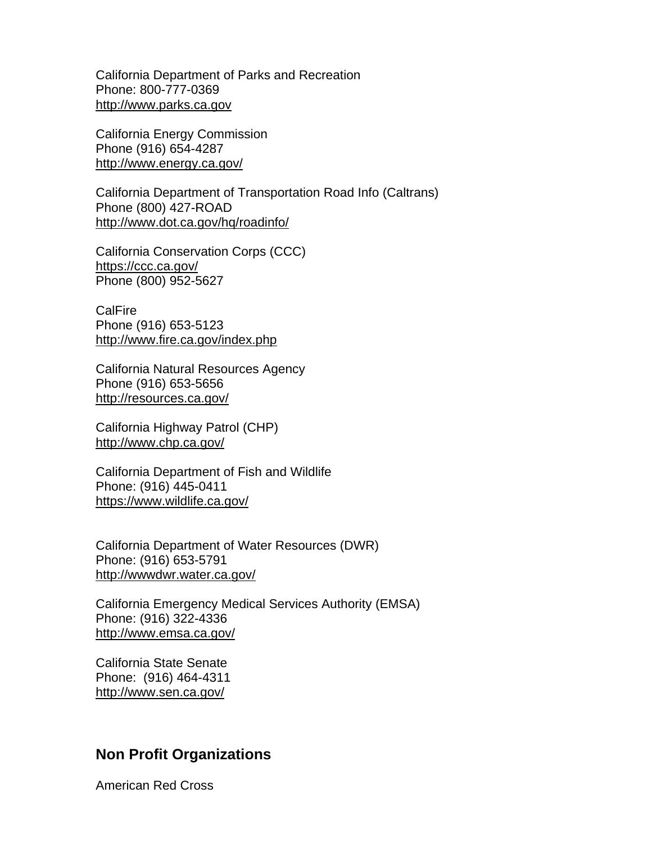California Department of Parks and Recreation Phone: 800-777-0369 http://www.parks.ca.gov

California Energy Commission Phone (916) 654-4287 http://www.energy.ca.gov/

California Department of Transportation Road Info (Caltrans) Phone (800) 427-ROAD http://www.dot.ca.gov/hq/roadinfo/

California Conservation Corps (CCC) https://ccc.ca.gov/ Phone (800) 952-5627

**CalFire** Phone (916) 653-5123 http://www.fire.ca.gov/index.php

California Natural Resources Agency Phone (916) 653-5656 http://resources.ca.gov/

California Highway Patrol (CHP) http://www.chp.ca.gov/

California Department of Fish and Wildlife Phone: (916) 445-0411 https://www.wildlife.ca.gov/

California Department of Water Resources (DWR) Phone: (916) 653-5791 http://wwwdwr.water.ca.gov/

California Emergency Medical Services Authority (EMSA) Phone: (916) 322-4336 http://www.emsa.ca.gov/

California State Senate Phone: (916) 464-4311 http://www.sen.ca.gov/

#### **Non Profit Organizations**

American Red Cross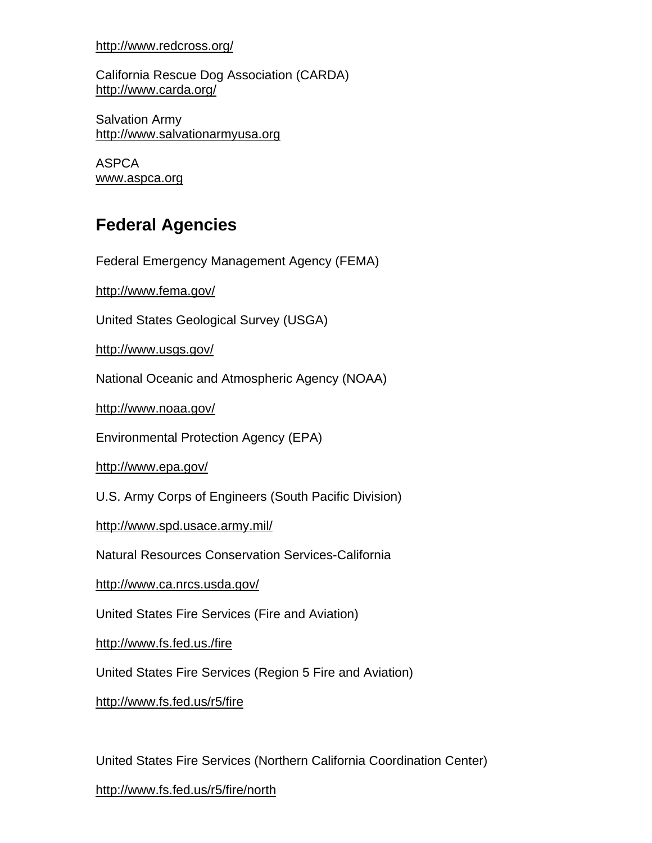http://www.redcross.org/

California Rescue Dog Association (CARDA) http://www.carda.org/

Salvation Army http://www.salvationarmyusa.org

ASPCA www.aspca.org

# **Federal Agencies**

Federal Emergency Management Agency (FEMA)

http://www.fema.gov/

United States Geological Survey (USGA)

http://www.usgs.gov/

National Oceanic and Atmospheric Agency (NOAA)

http://www.noaa.gov/

Environmental Protection Agency (EPA)

http://www.epa.gov/

U.S. Army Corps of Engineers (South Pacific Division)

http://www.spd.usace.army.mil/

Natural Resources Conservation Services-California

http://www.ca.nrcs.usda.gov/

United States Fire Services (Fire and Aviation)

http://www.fs.fed.us./fire

United States Fire Services (Region 5 Fire and Aviation)

http://www.fs.fed.us/r5/fire

United States Fire Services (Northern California Coordination Center)

http://www.fs.fed.us/r5/fire/north